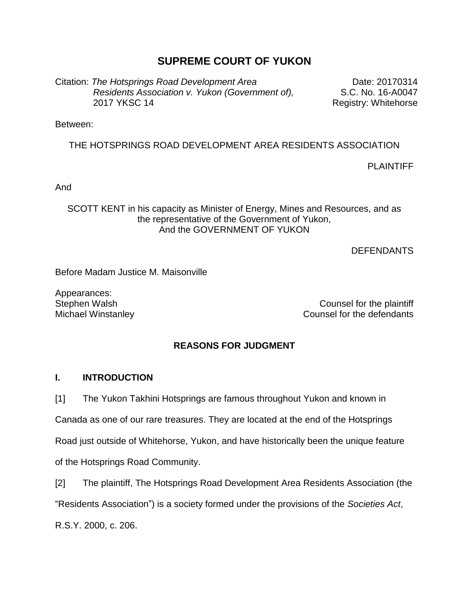# **SUPREME COURT OF YUKON**

Citation: *The Hotsprings Road Development Area Residents Association v. Yukon (Government of),* 2017 YKSC 14

Date: 20170314 S.C. No. 16-A0047 Registry: Whitehorse

Between:

THE HOTSPRINGS ROAD DEVELOPMENT AREA RESIDENTS ASSOCIATION

PLAINTIFF

And

SCOTT KENT in his capacity as Minister of Energy, Mines and Resources, and as the representative of the Government of Yukon, And the GOVERNMENT OF YUKON

**DEFENDANTS** 

Before Madam Justice M. Maisonville

Appearances:

Stephen Walsh Counsel for the plaintiff Michael Winstanley **Counsel for the defendants** 

## **REASONS FOR JUDGMENT**

#### **I. INTRODUCTION**

[1] The Yukon Takhini Hotsprings are famous throughout Yukon and known in

Canada as one of our rare treasures. They are located at the end of the Hotsprings

Road just outside of Whitehorse, Yukon, and have historically been the unique feature of the Hotsprings Road Community.

[2] The plaintiff, The Hotsprings Road Development Area Residents Association (the "Residents Association") is a society formed under the provisions of the *Societies Act*, R.S.Y. 2000, c. 206.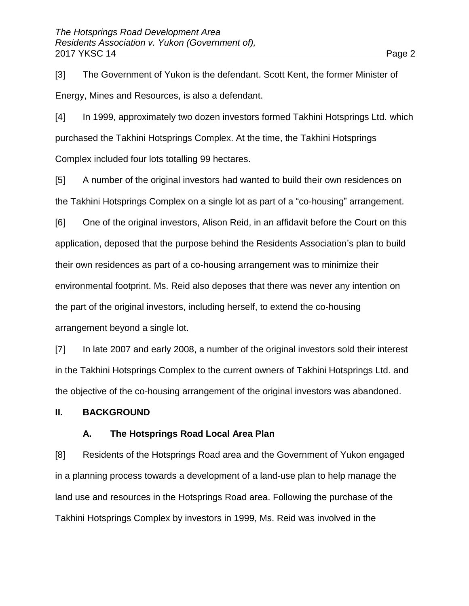[3] The Government of Yukon is the defendant. Scott Kent, the former Minister of Energy, Mines and Resources, is also a defendant.

[4] In 1999, approximately two dozen investors formed Takhini Hotsprings Ltd. which purchased the Takhini Hotsprings Complex. At the time, the Takhini Hotsprings Complex included four lots totalling 99 hectares.

[5] A number of the original investors had wanted to build their own residences on the Takhini Hotsprings Complex on a single lot as part of a "co-housing" arrangement.

[6] One of the original investors, Alison Reid, in an affidavit before the Court on this application, deposed that the purpose behind the Residents Association's plan to build their own residences as part of a co-housing arrangement was to minimize their environmental footprint. Ms. Reid also deposes that there was never any intention on the part of the original investors, including herself, to extend the co-housing arrangement beyond a single lot.

[7] In late 2007 and early 2008, a number of the original investors sold their interest in the Takhini Hotsprings Complex to the current owners of Takhini Hotsprings Ltd. and the objective of the co-housing arrangement of the original investors was abandoned.

#### **II. BACKGROUND**

## **A. The Hotsprings Road Local Area Plan**

[8] Residents of the Hotsprings Road area and the Government of Yukon engaged in a planning process towards a development of a land-use plan to help manage the land use and resources in the Hotsprings Road area. Following the purchase of the Takhini Hotsprings Complex by investors in 1999, Ms. Reid was involved in the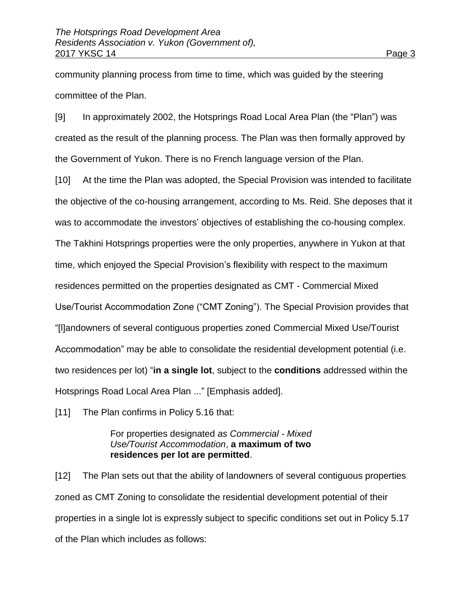community planning process from time to time, which was guided by the steering committee of the Plan.

[9] In approximately 2002, the Hotsprings Road Local Area Plan (the "Plan") was created as the result of the planning process. The Plan was then formally approved by the Government of Yukon. There is no French language version of the Plan.

[10] At the time the Plan was adopted, the Special Provision was intended to facilitate the objective of the co-housing arrangement, according to Ms. Reid. She deposes that it was to accommodate the investors' objectives of establishing the co-housing complex.

The Takhini Hotsprings properties were the only properties, anywhere in Yukon at that

time, which enjoyed the Special Provision's flexibility with respect to the maximum

residences permitted on the properties designated as CMT - Commercial Mixed

Use/Tourist Accommodation Zone ("CMT Zoning"). The Special Provision provides that

"[l]andowners of several contiguous properties zoned Commercial Mixed Use/Tourist

Accommodation" may be able to consolidate the residential development potential (i.e.

two residences per lot) "**in a single lot**, subject to the **conditions** addressed within the

Hotsprings Road Local Area Plan ..." [Emphasis added].

[11] The Plan confirms in Policy 5.16 that:

## For properties designated *as Commercial - Mixed Use/Tourist Accommodation*, **a maximum of two residences per lot are permitted**.

[12] The Plan sets out that the ability of landowners of several contiguous properties zoned as CMT Zoning to consolidate the residential development potential of their properties in a single lot is expressly subject to specific conditions set out in Policy 5.17 of the Plan which includes as follows: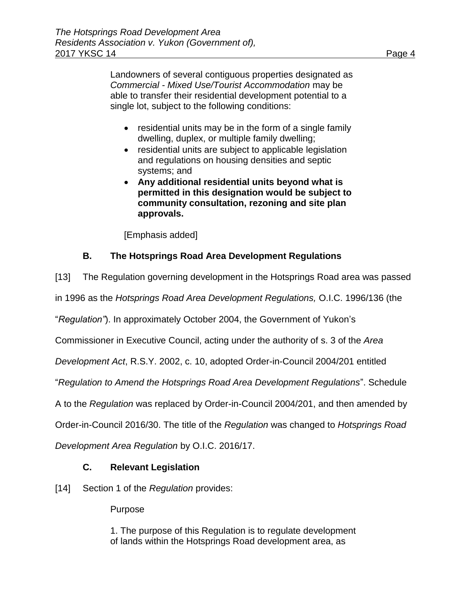Landowners of several contiguous properties designated as *Commercial - Mixed Use/Tourist Accommodation* may be able to transfer their residential development potential to a single lot, subject to the following conditions:

- $\bullet$  residential units may be in the form of a single family dwelling, duplex, or multiple family dwelling;
- residential units are subject to applicable legislation and regulations on housing densities and septic systems; and
- **Any additional residential units beyond what is permitted in this designation would be subject to community consultation, rezoning and site plan approvals.**

[Emphasis added]

# **B. The Hotsprings Road Area Development Regulations**

[13] The Regulation governing development in the Hotsprings Road area was passed

in 1996 as the *Hotsprings Road Area Development Regulations,* O.I.C. 1996/136 (the

"*Regulation"*). In approximately October 2004, the Government of Yukon's

Commissioner in Executive Council, acting under the authority of s. 3 of the *Area* 

*Development Act*, R.S.Y. 2002, c. 10, adopted Order-in-Council 2004/201 entitled

"*Regulation to Amend the Hotsprings Road Area Development Regulations*". Schedule

A to the *Regulation* was replaced by Order-in-Council 2004/201, and then amended by

Order-in-Council 2016/30. The title of the *Regulation* was changed to *Hotsprings Road* 

*Development Area Regulation* by O.I.C. 2016/17.

# **C. Relevant Legislation**

[14] Section 1 of the *Regulation* provides:

Purpose

1. The purpose of this Regulation is to regulate development of lands within the Hotsprings Road development area, as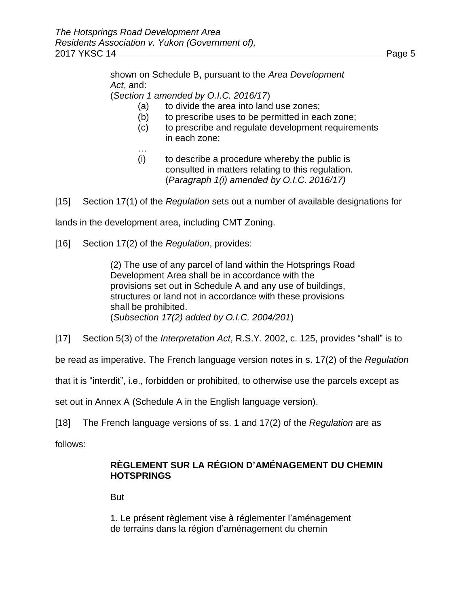shown on Schedule B, pursuant to the *Area Development Act*, and:

(*Section 1 amended by O.I.C. 2016/17*)

- (a) to divide the area into land use zones;
- (b) to prescribe uses to be permitted in each zone;
- (c) to prescribe and regulate development requirements in each zone;
- (i) to describe a procedure whereby the public is consulted in matters relating to this regulation. (*Paragraph 1(i) amended by O.I.C. 2016/17)*
- [15] Section 17(1) of the *Regulation* sets out a number of available designations for

lands in the development area, including CMT Zoning.

[16] Section 17(2) of the *Regulation*, provides:

…

(2) The use of any parcel of land within the Hotsprings Road Development Area shall be in accordance with the provisions set out in Schedule A and any use of buildings, structures or land not in accordance with these provisions shall be prohibited. (*Subsection 17(2) added by O.I.C. 2004/201*)

[17] Section 5(3) of the *Interpretation Act*, R.S.Y. 2002, c. 125, provides "shall" is to

be read as imperative. The French language version notes in s. 17(2) of the *Regulation*

that it is "interdit", i.e., forbidden or prohibited, to otherwise use the parcels except as

set out in Annex A (Schedule A in the English language version).

[18] The French language versions of ss. 1 and 17(2) of the *Regulation* are as

follows:

# **RÈGLEMENT SUR LA RÉGION D'AMÉNAGEMENT DU CHEMIN HOTSPRINGS**

But

1. Le présent règlement vise à réglementer l'aménagement de terrains dans la région d'aménagement du chemin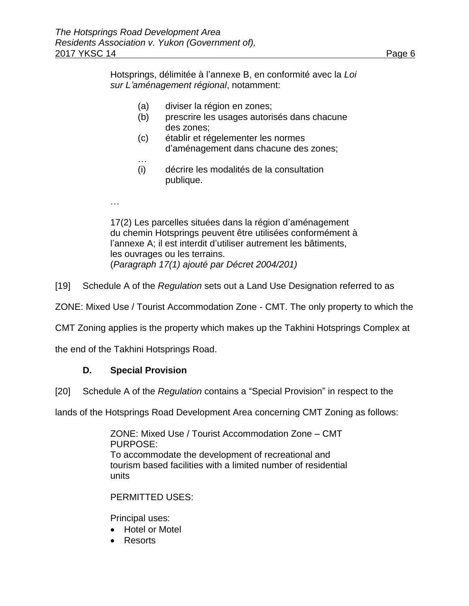Hotsprings, délimitée à l'annexe B, en conformité avec la *Loi sur L'aménagement régional*, notamment:

- (a) diviser la région en zones;
- (b) prescrire les usages autorisés dans chacune des zones;
- (c) établir et régelementer les normes d'aménagement dans chacune des zones;
- … (i) décrire les modalités de la consultation publique.
- …

17(2) Les parcelles situées dans la région d'aménagement du chemin Hotsprings peuvent être utilisées conformément à l'annexe A; il est interdit d'utiliser autrement les bâtiments, les ouvrages ou les terrains. (*Paragraph 17(1) ajouté par Décret 2004/201)*

[19] Schedule A of the *Regulation* sets out a Land Use Designation referred to as

ZONE: Mixed Use / Tourist Accommodation Zone - CMT. The only property to which the

CMT Zoning applies is the property which makes up the Takhini Hotsprings Complex at

the end of the Takhini Hotsprings Road.

## **D. Special Provision**

[20] Schedule A of the *Regulation* contains a "Special Provision" in respect to the

lands of the Hotsprings Road Development Area concerning CMT Zoning as follows:

ZONE: Mixed Use / Tourist Accommodation Zone – CMT PURPOSE: To accommodate the development of recreational and tourism based facilities with a limited number of residential units

PERMITTED USES:

Principal uses:

- Hotel or Motel
- Resorts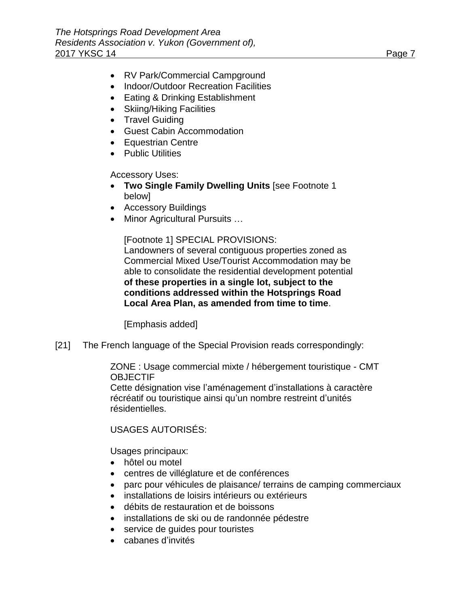- RV Park/Commercial Campground
- Indoor/Outdoor Recreation Facilities
- Eating & Drinking Establishment
- Skiing/Hiking Facilities
- Travel Guiding
- Guest Cabin Accommodation
- Equestrian Centre
- Public Utilities

## Accessory Uses:

- **Two Single Family Dwelling Units** [see Footnote 1 below]
- Accessory Buildings
- Minor Agricultural Pursuits ...

[Footnote 1] SPECIAL PROVISIONS:

Landowners of several contiguous properties zoned as Commercial Mixed Use/Tourist Accommodation may be able to consolidate the residential development potential **of these properties in a single lot, subject to the conditions addressed within the Hotsprings Road Local Area Plan, as amended from time to time**.

[Emphasis added]

[21] The French language of the Special Provision reads correspondingly:

ZONE : Usage commercial mixte / hébergement touristique - CMT **OBJECTIF** 

Cette désignation vise l'aménagement d'installations à caractère récréatif ou touristique ainsi qu'un nombre restreint d'unités résidentielles.

## USAGES AUTORISÉS:

Usages principaux:

- hôtel ou motel
- centres de villéglature et de conférences
- parc pour véhicules de plaisance/ terrains de camping commerciaux
- installations de loisirs intérieurs ou extérieurs
- débits de restauration et de boissons
- installations de ski ou de randonnée pédestre
- service de quides pour touristes
- cabanes d'invités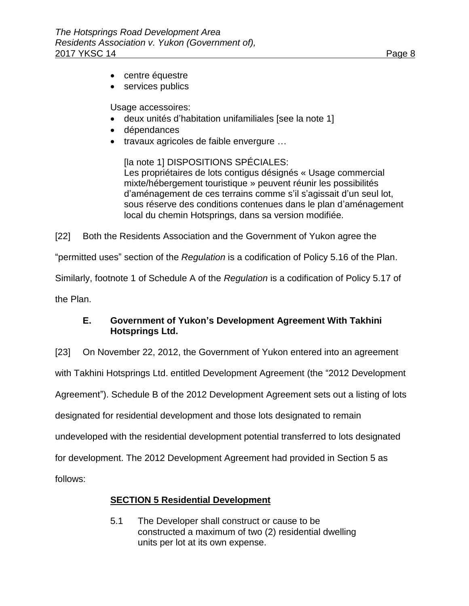- centre équestre
- services publics

Usage accessoires:

- deux unités d'habitation unifamiliales [see la note 1]
- dépendances
- travaux agricoles de faible envergure ...

[la note 1] DISPOSITIONS SPÉCIALES: Les propriétaires de lots contigus désignés « Usage commercial mixte/hébergement touristique » peuvent réunir les possibilités d'aménagement de ces terrains comme s'il s'agissait d'un seul lot, sous réserve des conditions contenues dans le plan d'aménagement local du chemin Hotsprings, dans sa version modifiée.

[22] Both the Residents Association and the Government of Yukon agree the

"permitted uses" section of the *Regulation* is a codification of Policy 5.16 of the Plan.

Similarly, footnote 1 of Schedule A of the *Regulation* is a codification of Policy 5.17 of

the Plan.

## **E. Government of Yukon's Development Agreement With Takhini Hotsprings Ltd.**

[23] On November 22, 2012, the Government of Yukon entered into an agreement

with Takhini Hotsprings Ltd. entitled Development Agreement (the "2012 Development

Agreement"). Schedule B of the 2012 Development Agreement sets out a listing of lots

designated for residential development and those lots designated to remain

undeveloped with the residential development potential transferred to lots designated

for development. The 2012 Development Agreement had provided in Section 5 as

follows:

# **SECTION 5 Residential Development**

5.1 The Developer shall construct or cause to be constructed a maximum of two (2) residential dwelling units per lot at its own expense.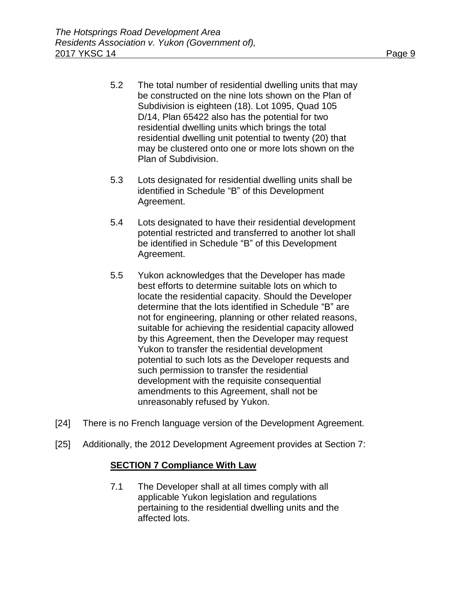- 5.2 The total number of residential dwelling units that may be constructed on the nine lots shown on the Plan of Subdivision is eighteen (18). Lot 1095, Quad 105 D/14, Plan 65422 also has the potential for two residential dwelling units which brings the total residential dwelling unit potential to twenty (20) that may be clustered onto one or more lots shown on the Plan of Subdivision.
- 5.3 Lots designated for residential dwelling units shall be identified in Schedule "B" of this Development Agreement.
- 5.4 Lots designated to have their residential development potential restricted and transferred to another lot shall be identified in Schedule "B" of this Development Agreement.
- 5.5 Yukon acknowledges that the Developer has made best efforts to determine suitable lots on which to locate the residential capacity. Should the Developer determine that the lots identified in Schedule "B" are not for engineering, planning or other related reasons, suitable for achieving the residential capacity allowed by this Agreement, then the Developer may request Yukon to transfer the residential development potential to such lots as the Developer requests and such permission to transfer the residential development with the requisite consequential amendments to this Agreement, shall not be unreasonably refused by Yukon.
- [24] There is no French language version of the Development Agreement.
- [25] Additionally, the 2012 Development Agreement provides at Section 7:

## **SECTION 7 Compliance With Law**

7.1 The Developer shall at all times comply with all applicable Yukon legislation and regulations pertaining to the residential dwelling units and the affected lots.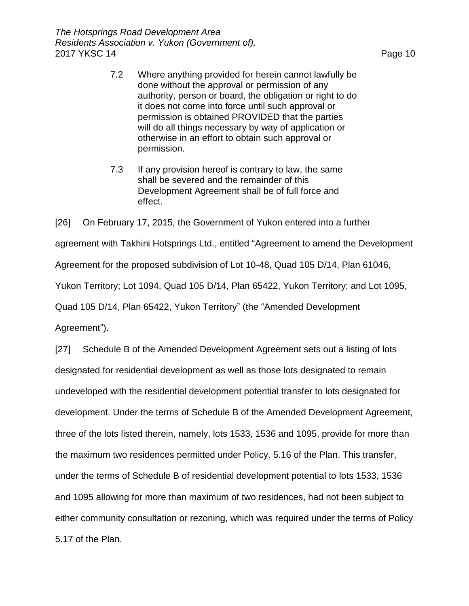- 7.2 Where anything provided for herein cannot lawfully be done without the approval or permission of any authority, person or board, the obligation or right to do it does not come into force until such approval or permission is obtained PROVIDED that the parties will do all things necessary by way of application or otherwise in an effort to obtain such approval or permission.
- 7.3 If any provision hereof is contrary to law, the same shall be severed and the remainder of this Development Agreement shall be of full force and effect.

[26] On February 17, 2015, the Government of Yukon entered into a further agreement with Takhini Hotsprings Ltd., entitled "Agreement to amend the Development Agreement for the proposed subdivision of Lot 10-48, Quad 105 D/14, Plan 61046, Yukon Territory; Lot 1094, Quad 105 D/14, Plan 65422, Yukon Territory; and Lot 1095, Quad 105 D/14, Plan 65422, Yukon Territory" (the "Amended Development Agreement").

[27] Schedule B of the Amended Development Agreement sets out a listing of lots designated for residential development as well as those lots designated to remain undeveloped with the residential development potential transfer to lots designated for development. Under the terms of Schedule B of the Amended Development Agreement, three of the lots listed therein, namely, lots 1533, 1536 and 1095, provide for more than the maximum two residences permitted under Policy. 5.16 of the Plan. This transfer, under the terms of Schedule B of residential development potential to lots 1533, 1536 and 1095 allowing for more than maximum of two residences, had not been subject to either community consultation or rezoning, which was required under the terms of Policy 5.17 of the Plan.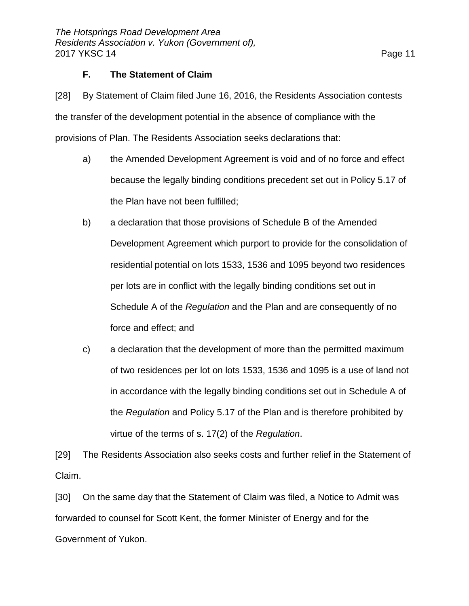## **F. The Statement of Claim**

[28] By Statement of Claim filed June 16, 2016, the Residents Association contests the transfer of the development potential in the absence of compliance with the provisions of Plan. The Residents Association seeks declarations that:

- a) the Amended Development Agreement is void and of no force and effect because the legally binding conditions precedent set out in Policy 5.17 of the Plan have not been fulfilled;
- b) a declaration that those provisions of Schedule B of the Amended Development Agreement which purport to provide for the consolidation of residential potential on lots 1533, 1536 and 1095 beyond two residences per lots are in conflict with the legally binding conditions set out in Schedule A of the *Regulation* and the Plan and are consequently of no force and effect; and
- c) a declaration that the development of more than the permitted maximum of two residences per lot on lots 1533, 1536 and 1095 is a use of land not in accordance with the legally binding conditions set out in Schedule A of the *Regulation* and Policy 5.17 of the Plan and is therefore prohibited by virtue of the terms of s. 17(2) of the *Regulation*.

[29] The Residents Association also seeks costs and further relief in the Statement of Claim.

[30] On the same day that the Statement of Claim was filed, a Notice to Admit was forwarded to counsel for Scott Kent, the former Minister of Energy and for the Government of Yukon.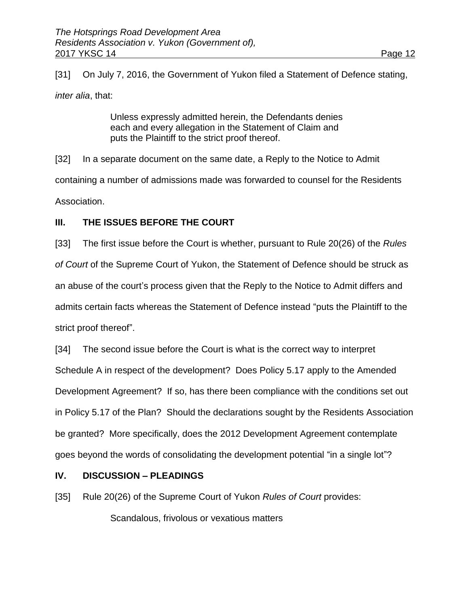[31] On July 7, 2016, the Government of Yukon filed a Statement of Defence stating,

*inter alia*, that:

Unless expressly admitted herein, the Defendants denies each and every allegation in the Statement of Claim and puts the Plaintiff to the strict proof thereof.

[32] In a separate document on the same date, a Reply to the Notice to Admit containing a number of admissions made was forwarded to counsel for the Residents Association.

## **III. THE ISSUES BEFORE THE COURT**

[33] The first issue before the Court is whether, pursuant to Rule 20(26) of the *Rules of Court* of the Supreme Court of Yukon, the Statement of Defence should be struck as an abuse of the court's process given that the Reply to the Notice to Admit differs and admits certain facts whereas the Statement of Defence instead "puts the Plaintiff to the strict proof thereof".

[34] The second issue before the Court is what is the correct way to interpret Schedule A in respect of the development? Does Policy 5.17 apply to the Amended Development Agreement? If so, has there been compliance with the conditions set out in Policy 5.17 of the Plan? Should the declarations sought by the Residents Association be granted? More specifically, does the 2012 Development Agreement contemplate goes beyond the words of consolidating the development potential "in a single lot"?

## **IV. DISCUSSION – PLEADINGS**

[35] Rule 20(26) of the Supreme Court of Yukon *Rules of Court* provides:

Scandalous, frivolous or vexatious matters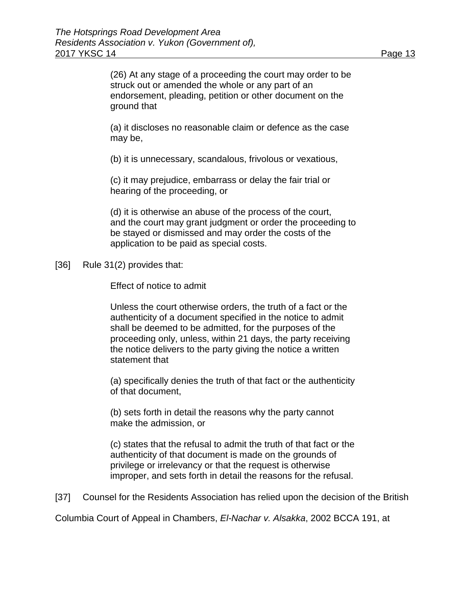(26) At any stage of a proceeding the court may order to be struck out or amended the whole or any part of an endorsement, pleading, petition or other document on the ground that

(a) it discloses no reasonable claim or defence as the case may be,

(b) it is unnecessary, scandalous, frivolous or vexatious,

(c) it may prejudice, embarrass or delay the fair trial or hearing of the proceeding, or

(d) it is otherwise an abuse of the process of the court, and the court may grant judgment or order the proceeding to be stayed or dismissed and may order the costs of the application to be paid as special costs.

[36] Rule 31(2) provides that:

Effect of notice to admit

Unless the court otherwise orders, the truth of a fact or the authenticity of a document specified in the notice to admit shall be deemed to be admitted, for the purposes of the proceeding only, unless, within 21 days, the party receiving the notice delivers to the party giving the notice a written statement that

(a) specifically denies the truth of that fact or the authenticity of that document,

(b) sets forth in detail the reasons why the party cannot make the admission, or

(c) states that the refusal to admit the truth of that fact or the authenticity of that document is made on the grounds of privilege or irrelevancy or that the request is otherwise improper, and sets forth in detail the reasons for the refusal.

[37] Counsel for the Residents Association has relied upon the decision of the British

Columbia Court of Appeal in Chambers, *El-Nachar v. Alsakka*, 2002 BCCA 191, at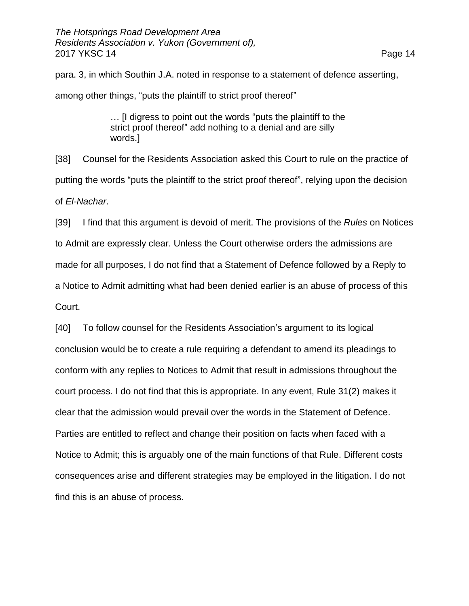para. 3, in which Southin J.A. noted in response to a statement of defence asserting, among other things, "puts the plaintiff to strict proof thereof"

> … [I digress to point out the words "puts the plaintiff to the strict proof thereof" add nothing to a denial and are silly words.]

[38] Counsel for the Residents Association asked this Court to rule on the practice of putting the words "puts the plaintiff to the strict proof thereof", relying upon the decision of *El-Nachar*.

[39] I find that this argument is devoid of merit. The provisions of the *Rules* on Notices to Admit are expressly clear. Unless the Court otherwise orders the admissions are made for all purposes, I do not find that a Statement of Defence followed by a Reply to a Notice to Admit admitting what had been denied earlier is an abuse of process of this Court.

[40] To follow counsel for the Residents Association's argument to its logical conclusion would be to create a rule requiring a defendant to amend its pleadings to conform with any replies to Notices to Admit that result in admissions throughout the court process. I do not find that this is appropriate. In any event, Rule 31(2) makes it clear that the admission would prevail over the words in the Statement of Defence. Parties are entitled to reflect and change their position on facts when faced with a Notice to Admit; this is arguably one of the main functions of that Rule. Different costs consequences arise and different strategies may be employed in the litigation. I do not find this is an abuse of process.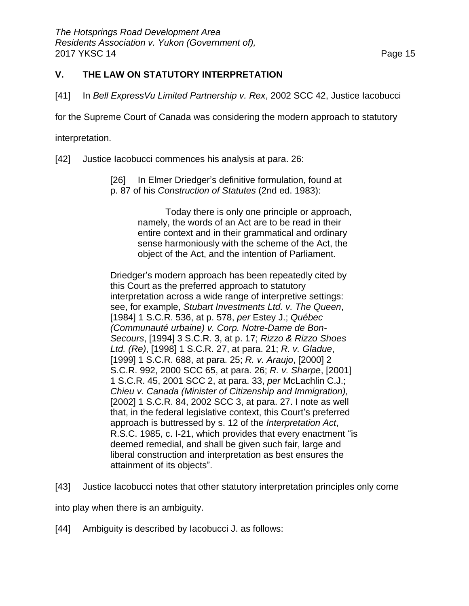# **V. THE LAW ON STATUTORY INTERPRETATION**

[41] In *Bell ExpressVu Limited Partnership v. Rex*, 2002 SCC 42, Justice Iacobucci

for the Supreme Court of Canada was considering the modern approach to statutory

interpretation.

[42] Justice Iacobucci commences his analysis at para. 26:

[26] In Elmer Driedger's definitive formulation, found at p. 87 of his *Construction of Statutes* (2nd ed. 1983):

> Today there is only one principle or approach, namely, the words of an Act are to be read in their entire context and in their grammatical and ordinary sense harmoniously with the scheme of the Act, the object of the Act, and the intention of Parliament.

Driedger's modern approach has been repeatedly cited by this Court as the preferred approach to statutory interpretation across a wide range of interpretive settings: see, for example, *Stubart Investments Ltd. v. The Queen*, [1984] 1 S.C.R. 536, at p. 578, *per* Estey J.; *Québec (Communauté urbaine) v. Corp. Notre-Dame de Bon-Secours*, [1994] 3 S.C.R. 3, at p. 17; *Rizzo & Rizzo Shoes Ltd. (Re)*, [1998] 1 S.C.R. 27, at para. 21; *R. v. Gladue*, [1999] 1 S.C.R. 688, at para. 25; *R. v. Araujo*, [2000] 2 S.C.R. 992, 2000 SCC 65, at para. 26; *R. v. Sharpe*, [2001] 1 S.C.R. 45, 2001 SCC 2, at para. 33, *per* McLachlin C.J.; *Chieu v. Canada (Minister of Citizenship and Immigration),* [2002] 1 S.C.R. 84, 2002 SCC 3, at para. 27. I note as well that, in the federal legislative context, this Court's preferred approach is buttressed by s. 12 of the *Interpretation Act*, R.S.C. 1985, c. I-21, which provides that every enactment "is deemed remedial, and shall be given such fair, large and liberal construction and interpretation as best ensures the attainment of its objects".

[43] Justice Iacobucci notes that other statutory interpretation principles only come

into play when there is an ambiguity.

[44] Ambiguity is described by lacobucci J. as follows: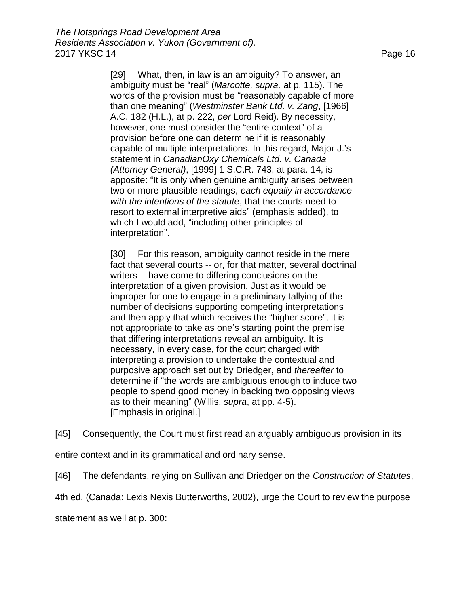[29] What, then, in law is an ambiguity? To answer, an ambiguity must be "real" (*Marcotte, supra,* at p. 115). The words of the provision must be "reasonably capable of more than one meaning" (*Westminster Bank Ltd. v. Zang*, [1966] A.C. 182 (H.L.), at p. 222, *per* Lord Reid). By necessity, however, one must consider the "entire context" of a provision before one can determine if it is reasonably capable of multiple interpretations. In this regard, Major J.'s statement in *CanadianOxy Chemicals Ltd. v. Canada (Attorney General)*, [1999] 1 S.C.R. 743, at para. 14, is apposite: "It is only when genuine ambiguity arises between two or more plausible readings, *each equally in accordance with the intentions of the statute*, that the courts need to resort to external interpretive aids" (emphasis added), to which I would add, "including other principles of interpretation".

[30] For this reason, ambiguity cannot reside in the mere fact that several courts -- or, for that matter, several doctrinal writers -- have come to differing conclusions on the interpretation of a given provision. Just as it would be improper for one to engage in a preliminary tallying of the number of decisions supporting competing interpretations and then apply that which receives the "higher score", it is not appropriate to take as one's starting point the premise that differing interpretations reveal an ambiguity. It is necessary, in every case, for the court charged with interpreting a provision to undertake the contextual and purposive approach set out by Driedger, and *thereafter* to determine if "the words are ambiguous enough to induce two people to spend good money in backing two opposing views as to their meaning" (Willis, *supra*, at pp. 4-5). [Emphasis in original.]

[45] Consequently, the Court must first read an arguably ambiguous provision in its

entire context and in its grammatical and ordinary sense.

[46] The defendants, relying on Sullivan and Driedger on the *Construction of Statutes*,

4th ed. (Canada: Lexis Nexis Butterworths, 2002), urge the Court to review the purpose

statement as well at p. 300: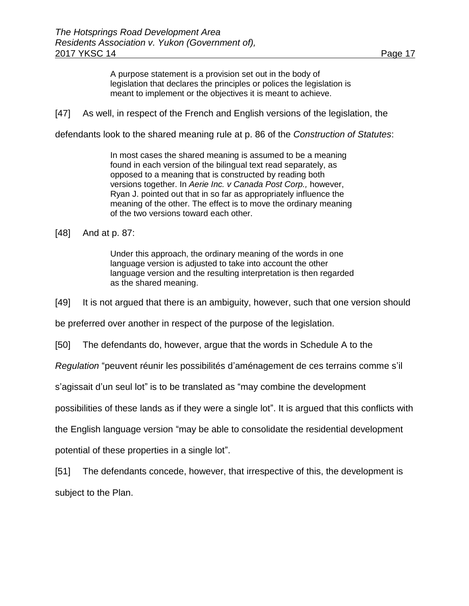A purpose statement is a provision set out in the body of legislation that declares the principles or polices the legislation is meant to implement or the objectives it is meant to achieve.

[47] As well, in respect of the French and English versions of the legislation, the

defendants look to the shared meaning rule at p. 86 of the *Construction of Statutes*:

In most cases the shared meaning is assumed to be a meaning found in each version of the bilingual text read separately, as opposed to a meaning that is constructed by reading both versions together. In *Aerie Inc. v Canada Post Corp.,* however, Ryan J. pointed out that in so far as appropriately influence the meaning of the other. The effect is to move the ordinary meaning of the two versions toward each other.

[48] And at p. 87:

Under this approach, the ordinary meaning of the words in one language version is adjusted to take into account the other language version and the resulting interpretation is then regarded as the shared meaning.

[49] It is not argued that there is an ambiguity, however, such that one version should

be preferred over another in respect of the purpose of the legislation.

[50] The defendants do, however, argue that the words in Schedule A to the

*Regulation* "peuvent réunir les possibilités d'aménagement de ces terrains comme s'il

s'agissait d'un seul lot" is to be translated as "may combine the development

possibilities of these lands as if they were a single lot". It is argued that this conflicts with

the English language version "may be able to consolidate the residential development

potential of these properties in a single lot".

[51] The defendants concede, however, that irrespective of this, the development is subject to the Plan.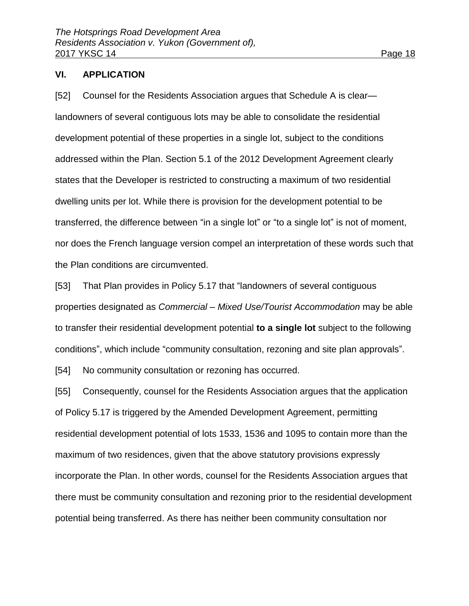#### **VI. APPLICATION**

[52] Counsel for the Residents Association argues that Schedule A is clear landowners of several contiguous lots may be able to consolidate the residential development potential of these properties in a single lot, subject to the conditions addressed within the Plan. Section 5.1 of the 2012 Development Agreement clearly states that the Developer is restricted to constructing a maximum of two residential dwelling units per lot. While there is provision for the development potential to be transferred, the difference between "in a single lot" or "to a single lot" is not of moment, nor does the French language version compel an interpretation of these words such that the Plan conditions are circumvented.

[53] That Plan provides in Policy 5.17 that "landowners of several contiguous properties designated as *Commercial – Mixed Use/Tourist Accommodation* may be able to transfer their residential development potential **to a single lot** subject to the following conditions", which include "community consultation, rezoning and site plan approvals".

[54] No community consultation or rezoning has occurred.

[55] Consequently, counsel for the Residents Association argues that the application of Policy 5.17 is triggered by the Amended Development Agreement, permitting residential development potential of lots 1533, 1536 and 1095 to contain more than the maximum of two residences, given that the above statutory provisions expressly incorporate the Plan. In other words, counsel for the Residents Association argues that there must be community consultation and rezoning prior to the residential development potential being transferred. As there has neither been community consultation nor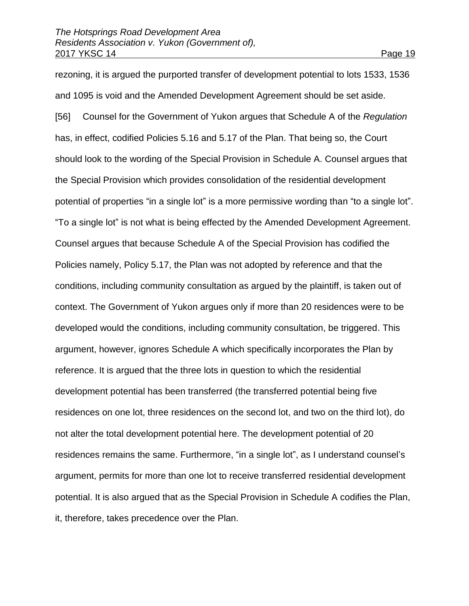rezoning, it is argued the purported transfer of development potential to lots 1533, 1536 and 1095 is void and the Amended Development Agreement should be set aside. [56] Counsel for the Government of Yukon argues that Schedule A of the *Regulation* has, in effect, codified Policies 5.16 and 5.17 of the Plan. That being so, the Court should look to the wording of the Special Provision in Schedule A. Counsel argues that the Special Provision which provides consolidation of the residential development potential of properties "in a single lot" is a more permissive wording than "to a single lot". "To a single lot" is not what is being effected by the Amended Development Agreement. Counsel argues that because Schedule A of the Special Provision has codified the Policies namely, Policy 5.17, the Plan was not adopted by reference and that the conditions, including community consultation as argued by the plaintiff, is taken out of context. The Government of Yukon argues only if more than 20 residences were to be developed would the conditions, including community consultation, be triggered. This argument, however, ignores Schedule A which specifically incorporates the Plan by reference. It is argued that the three lots in question to which the residential development potential has been transferred (the transferred potential being five residences on one lot, three residences on the second lot, and two on the third lot), do not alter the total development potential here. The development potential of 20 residences remains the same. Furthermore, "in a single lot", as I understand counsel's argument, permits for more than one lot to receive transferred residential development potential. It is also argued that as the Special Provision in Schedule A codifies the Plan, it, therefore, takes precedence over the Plan.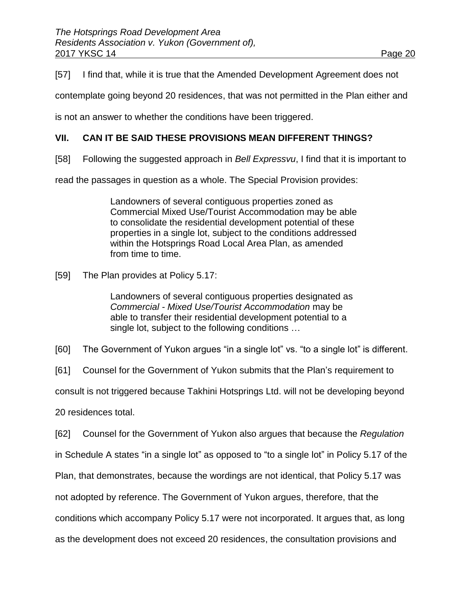[57] I find that, while it is true that the Amended Development Agreement does not

contemplate going beyond 20 residences, that was not permitted in the Plan either and

is not an answer to whether the conditions have been triggered.

## **VII. CAN IT BE SAID THESE PROVISIONS MEAN DIFFERENT THINGS?**

[58] Following the suggested approach in *Bell Expressvu*, I find that it is important to

read the passages in question as a whole. The Special Provision provides:

Landowners of several contiguous properties zoned as Commercial Mixed Use/Tourist Accommodation may be able to consolidate the residential development potential of these properties in a single lot, subject to the conditions addressed within the Hotsprings Road Local Area Plan, as amended from time to time.

[59] The Plan provides at Policy 5.17:

Landowners of several contiguous properties designated as *Commercial - Mixed Use/Tourist Accommodation* may be able to transfer their residential development potential to a single lot, subject to the following conditions …

[60] The Government of Yukon argues "in a single lot" vs. "to a single lot" is different.

[61] Counsel for the Government of Yukon submits that the Plan's requirement to

consult is not triggered because Takhini Hotsprings Ltd. will not be developing beyond

20 residences total.

[62] Counsel for the Government of Yukon also argues that because the *Regulation*

in Schedule A states "in a single lot" as opposed to "to a single lot" in Policy 5.17 of the

Plan, that demonstrates, because the wordings are not identical, that Policy 5.17 was

not adopted by reference. The Government of Yukon argues, therefore, that the

conditions which accompany Policy 5.17 were not incorporated. It argues that, as long

as the development does not exceed 20 residences, the consultation provisions and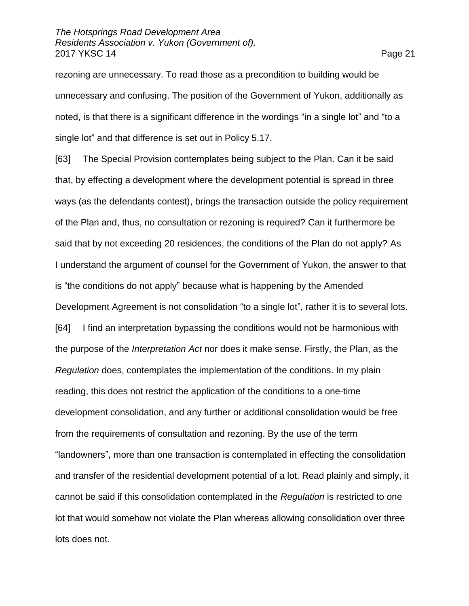rezoning are unnecessary. To read those as a precondition to building would be unnecessary and confusing. The position of the Government of Yukon, additionally as noted, is that there is a significant difference in the wordings "in a single lot" and "to a single lot" and that difference is set out in Policy 5.17.

[63] The Special Provision contemplates being subject to the Plan. Can it be said that, by effecting a development where the development potential is spread in three ways (as the defendants contest), brings the transaction outside the policy requirement of the Plan and, thus, no consultation or rezoning is required? Can it furthermore be said that by not exceeding 20 residences, the conditions of the Plan do not apply? As I understand the argument of counsel for the Government of Yukon, the answer to that is "the conditions do not apply" because what is happening by the Amended Development Agreement is not consolidation "to a single lot", rather it is to several lots. [64] I find an interpretation bypassing the conditions would not be harmonious with the purpose of the *Interpretation Act* nor does it make sense. Firstly, the Plan, as the *Regulation* does, contemplates the implementation of the conditions. In my plain reading, this does not restrict the application of the conditions to a one-time development consolidation, and any further or additional consolidation would be free from the requirements of consultation and rezoning. By the use of the term "landowners", more than one transaction is contemplated in effecting the consolidation and transfer of the residential development potential of a lot. Read plainly and simply, it cannot be said if this consolidation contemplated in the *Regulation* is restricted to one lot that would somehow not violate the Plan whereas allowing consolidation over three lots does not.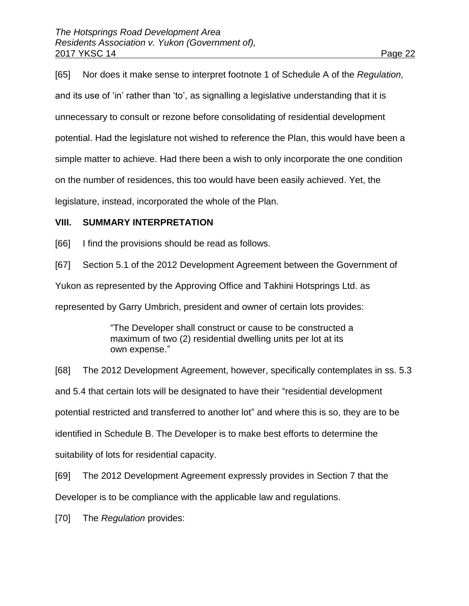[65] Nor does it make sense to interpret footnote 1 of Schedule A of the *Regulation,*  and its use of 'in' rather than 'to', as signalling a legislative understanding that it is unnecessary to consult or rezone before consolidating of residential development potential. Had the legislature not wished to reference the Plan, this would have been a simple matter to achieve. Had there been a wish to only incorporate the one condition

on the number of residences, this too would have been easily achieved. Yet, the

legislature, instead, incorporated the whole of the Plan.

#### **VIII. SUMMARY INTERPRETATION**

[66] I find the provisions should be read as follows.

[67] Section 5.1 of the 2012 Development Agreement between the Government of

Yukon as represented by the Approving Office and Takhini Hotsprings Ltd. as

represented by Garry Umbrich, president and owner of certain lots provides:

"The Developer shall construct or cause to be constructed a maximum of two (2) residential dwelling units per lot at its own expense."

[68] The 2012 Development Agreement, however, specifically contemplates in ss. 5.3 and 5.4 that certain lots will be designated to have their "residential development potential restricted and transferred to another lot" and where this is so, they are to be identified in Schedule B. The Developer is to make best efforts to determine the suitability of lots for residential capacity.

[69] The 2012 Development Agreement expressly provides in Section 7 that the Developer is to be compliance with the applicable law and regulations.

[70] The *Regulation* provides: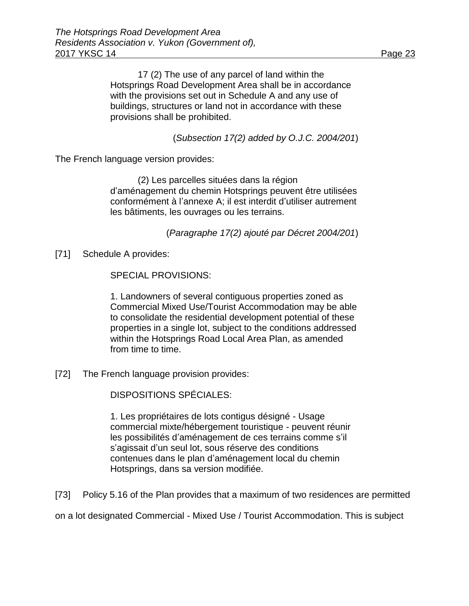17 (2) The use of any parcel of land within the Hotsprings Road Development Area shall be in accordance with the provisions set out in Schedule A and any use of buildings, structures or land not in accordance with these provisions shall be prohibited.

(*Subsection 17(2) added by O.J.C. 2004/201*)

The French language version provides:

(2) Les parcelles situées dans la région d'aménagement du chemin Hotsprings peuvent être utilisées conformément à l'annexe A; il est interdit d'utiliser autrement les bâtiments, les ouvrages ou les terrains.

(*Paragraphe 17(2) ajouté par Décret 2004/201*)

[71] Schedule A provides:

SPECIAL PROVISIONS:

1. Landowners of several contiguous properties zoned as Commercial Mixed Use/Tourist Accommodation may be able to consolidate the residential development potential of these properties in a single lot, subject to the conditions addressed within the Hotsprings Road Local Area Plan, as amended from time to time.

[72] The French language provision provides:

DISPOSITIONS SPÉCIALES:

1. Les propriétaires de lots contigus désigné - Usage commercial mixte/hébergement touristique - peuvent réunir les possibilités d'aménagement de ces terrains comme s'il s'agissait d'un seul lot, sous réserve des conditions contenues dans le plan d'aménagement local du chemin Hotsprings, dans sa version modifiée.

[73] Policy 5.16 of the Plan provides that a maximum of two residences are permitted

on a lot designated Commercial - Mixed Use / Tourist Accommodation. This is subject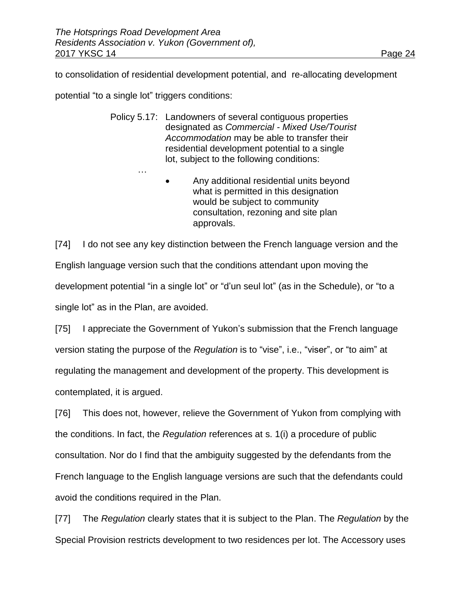to consolidation of residential development potential, and re-allocating development

potential "to a single lot" triggers conditions:

…

- Policy 5.17: Landowners of several contiguous properties designated as *Commercial - Mixed Use/Tourist Accommodation* may be able to transfer their residential development potential to a single lot, subject to the following conditions:
	- Any additional residential units beyond what is permitted in this designation would be subject to community consultation, rezoning and site plan approvals.

[74] I do not see any key distinction between the French language version and the English language version such that the conditions attendant upon moving the development potential "in a single lot" or "d'un seul lot" (as in the Schedule), or "to a single lot" as in the Plan, are avoided.

[75] I appreciate the Government of Yukon's submission that the French language version stating the purpose of the *Regulation* is to "vise", i.e., "viser", or "to aim" at regulating the management and development of the property. This development is contemplated, it is argued.

[76] This does not, however, relieve the Government of Yukon from complying with the conditions. In fact, the *Regulation* references at s. 1(i) a procedure of public consultation. Nor do I find that the ambiguity suggested by the defendants from the French language to the English language versions are such that the defendants could avoid the conditions required in the Plan.

[77] The *Regulation* clearly states that it is subject to the Plan. The *Regulation* by the Special Provision restricts development to two residences per lot. The Accessory uses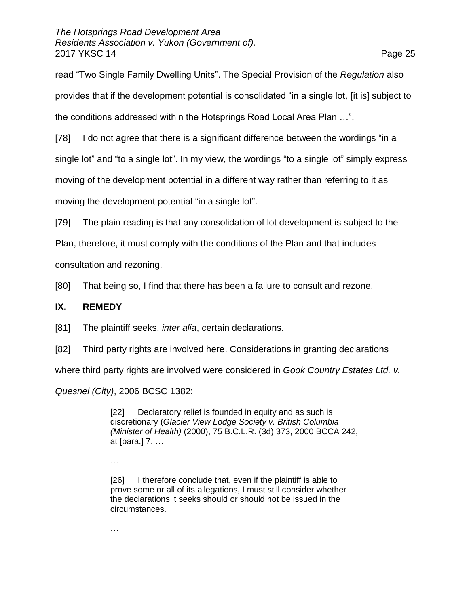read "Two Single Family Dwelling Units". The Special Provision of the *Regulation* also provides that if the development potential is consolidated "in a single lot, [it is] subject to the conditions addressed within the Hotsprings Road Local Area Plan …".

[78] I do not agree that there is a significant difference between the wordings "in a

single lot" and "to a single lot". In my view, the wordings "to a single lot" simply express

moving of the development potential in a different way rather than referring to it as

moving the development potential "in a single lot".

[79] The plain reading is that any consolidation of lot development is subject to the

Plan, therefore, it must comply with the conditions of the Plan and that includes

consultation and rezoning.

[80] That being so, I find that there has been a failure to consult and rezone.

#### **IX. REMEDY**

[81] The plaintiff seeks, *inter alia*, certain declarations.

[82] Third party rights are involved here. Considerations in granting declarations

where third party rights are involved were considered in *Gook Country Estates Ltd. v.* 

*Quesnel (City)*, 2006 BCSC 1382:

[22] Declaratory relief is founded in equity and as such is discretionary (*Glacier View Lodge Society v. British Columbia (Minister of Health)* [\(2000\), 75 B.C.L.R. \(3d\) 373,](http://www.lexisnexis.com/ca/legal/search/runRemoteLink.do?A=0.9334683092399945&bct=A&service=citation&risb=21_T25456909920&langcountry=CA&linkInfo=F%23CA%23BCLR3%23vol%2575%25sel1%252000%25page%25373%25year%252000%25sel2%2575%25decisiondate%252000%25) [2000 BCCA 242,](http://www.lexisnexis.com/ca/legal/search/runRemoteLink.do?A=0.4896529312159167&bct=A&service=citation&risb=21_T25456909920&langcountry=CA&linkInfo=F%23CA%23BCCA%23sel1%252000%25year%252000%25decisiondate%252000%25onum%25242%25) at [para.] 7. …

…

[26] I therefore conclude that, even if the plaintiff is able to prove some or all of its allegations, I must still consider whether the declarations it seeks should or should not be issued in the circumstances.

…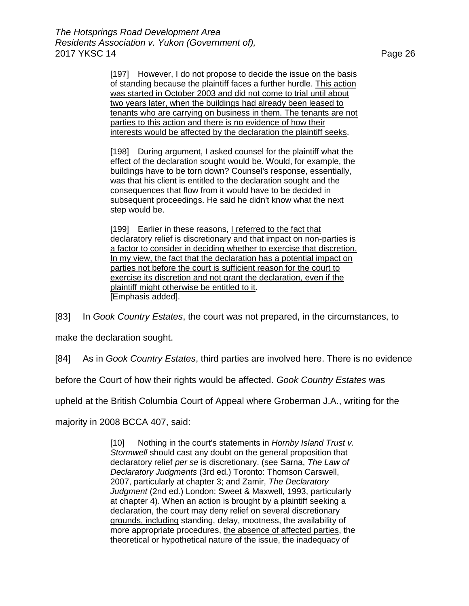[197] However, I do not propose to decide the issue on the basis of standing because the plaintiff faces a further hurdle. This action was started in October 2003 and did not come to trial until about two years later, when the buildings had already been leased to tenants who are carrying on business in them. The tenants are not parties to this action and there is no evidence of how their interests would be affected by the declaration the plaintiff seeks.

[198] During argument, I asked counsel for the plaintiff what the effect of the declaration sought would be. Would, for example, the buildings have to be torn down? Counsel's response, essentially, was that his client is entitled to the declaration sought and the consequences that flow from it would have to be decided in subsequent proceedings. He said he didn't know what the next step would be.

[199] Earlier in these reasons, I referred to the fact that declaratory relief is discretionary and that impact on non-parties is a factor to consider in deciding whether to exercise that discretion. In my view, the fact that the declaration has a potential impact on parties not before the court is sufficient reason for the court to exercise its discretion and not grant the declaration, even if the plaintiff might otherwise be entitled to it. [Emphasis added].

[83] In *Gook Country Estates*, the court was not prepared, in the circumstances, to

make the declaration sought.

[84] As in *Gook Country Estates*, third parties are involved here. There is no evidence

before the Court of how their rights would be affected. *Gook Country Estates* was

upheld at the British Columbia Court of Appeal where Groberman J.A., writing for the

majority in 2008 BCCA 407, said:

[10] Nothing in the court's statements in *Hornby Island Trust v. Stormwell* should cast any doubt on the general proposition that declaratory relief *per se* is discretionary. (see Sarna, *The Law of Declaratory Judgments* (3rd ed.) Toronto: Thomson Carswell, 2007, particularly at chapter 3; and Zamir, *The Declaratory Judgment* (2nd ed.) London: Sweet & Maxwell, 1993, particularly at chapter 4). When an action is brought by a plaintiff seeking a declaration, the court may deny relief on several discretionary grounds, including standing, delay, mootness, the availability of more appropriate procedures, the absence of affected parties, the theoretical or hypothetical nature of the issue, the inadequacy of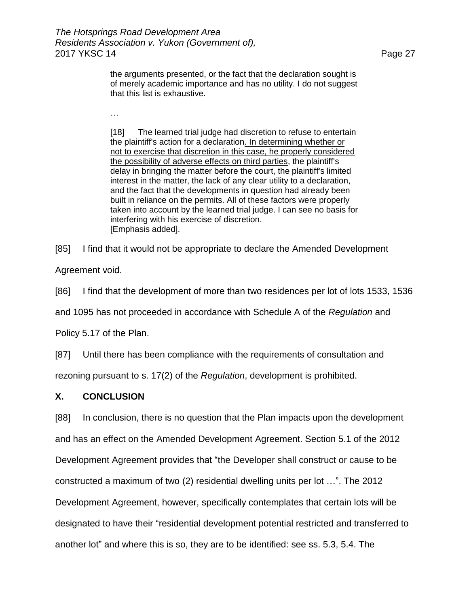the arguments presented, or the fact that the declaration sought is of merely academic importance and has no utility. I do not suggest that this list is exhaustive.

[18] The learned trial judge had discretion to refuse to entertain the plaintiff's action for a declaration. In determining whether or not to exercise that discretion in this case, he properly considered the possibility of adverse effects on third parties, the plaintiff's delay in bringing the matter before the court, the plaintiff's limited interest in the matter, the lack of any clear utility to a declaration, and the fact that the developments in question had already been built in reliance on the permits. All of these factors were properly taken into account by the learned trial judge. I can see no basis for interfering with his exercise of discretion. [Emphasis added].

[85] I find that it would not be appropriate to declare the Amended Development

Agreement void.

[86] I find that the development of more than two residences per lot of lots 1533, 1536

and 1095 has not proceeded in accordance with Schedule A of the *Regulation* and

Policy 5.17 of the Plan.

…

[87] Until there has been compliance with the requirements of consultation and

rezoning pursuant to s. 17(2) of the *Regulation*, development is prohibited.

#### **X. CONCLUSION**

[88] In conclusion, there is no question that the Plan impacts upon the development and has an effect on the Amended Development Agreement. Section 5.1 of the 2012 Development Agreement provides that "the Developer shall construct or cause to be constructed a maximum of two (2) residential dwelling units per lot …". The 2012 Development Agreement, however, specifically contemplates that certain lots will be designated to have their "residential development potential restricted and transferred to another lot" and where this is so, they are to be identified: see ss. 5.3, 5.4. The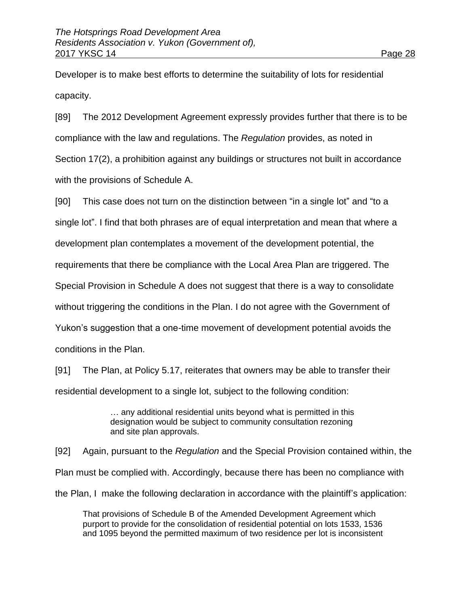Developer is to make best efforts to determine the suitability of lots for residential capacity.

[89] The 2012 Development Agreement expressly provides further that there is to be compliance with the law and regulations. The *Regulation* provides, as noted in Section 17(2), a prohibition against any buildings or structures not built in accordance with the provisions of Schedule A.

[90] This case does not turn on the distinction between "in a single lot" and "to a single lot". I find that both phrases are of equal interpretation and mean that where a development plan contemplates a movement of the development potential, the requirements that there be compliance with the Local Area Plan are triggered. The Special Provision in Schedule A does not suggest that there is a way to consolidate without triggering the conditions in the Plan. I do not agree with the Government of Yukon's suggestion that a one-time movement of development potential avoids the conditions in the Plan.

[91] The Plan, at Policy 5.17, reiterates that owners may be able to transfer their residential development to a single lot, subject to the following condition:

> … any additional residential units beyond what is permitted in this designation would be subject to community consultation rezoning and site plan approvals.

[92] Again, pursuant to the *Regulation* and the Special Provision contained within, the Plan must be complied with. Accordingly, because there has been no compliance with the Plan, I make the following declaration in accordance with the plaintiff's application:

That provisions of Schedule B of the Amended Development Agreement which purport to provide for the consolidation of residential potential on lots 1533, 1536 and 1095 beyond the permitted maximum of two residence per lot is inconsistent